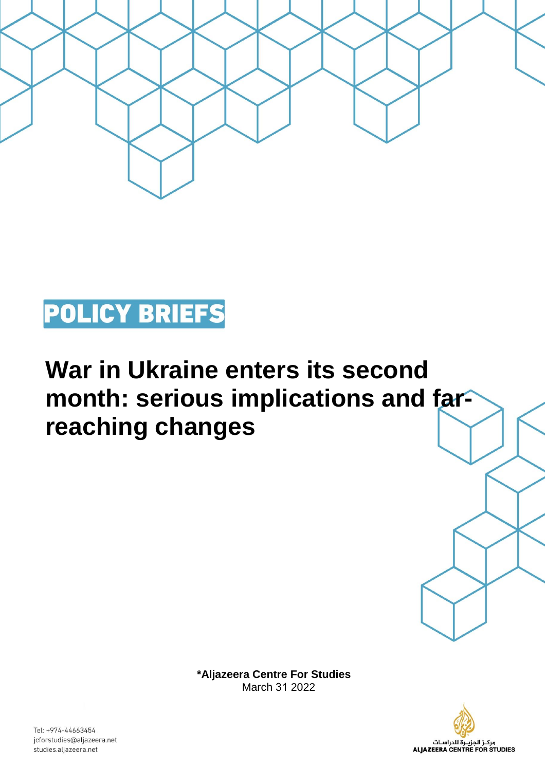

## **POLICY BRIEFS**

## **War in Ukraine enters its second**  month: serious implications and far**reaching changes**

**\*Aljazeera Centre For Studies**  March 31 2022



Tel: +974-44663454 jcforstudies@aljazeera.net studies.aljazeera.net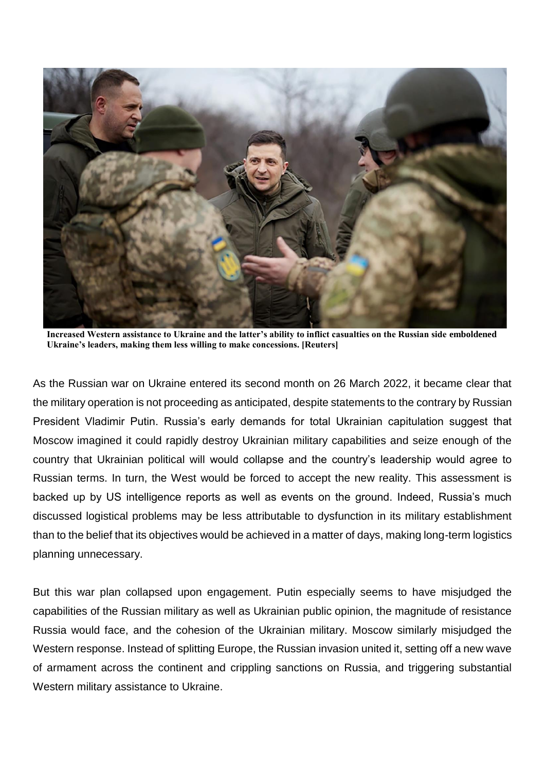

**Increased Western assistance to Ukraine and the latter's ability to inflict casualties on the Russian side emboldened Ukraine's leaders, making them less willing to make concessions. [Reuters]**

As the Russian war on Ukraine entered its second month on 26 March 2022, it became clear that the military operation is not proceeding as anticipated, despite statements to the contrary by Russian President Vladimir Putin. Russia's early demands for total Ukrainian capitulation suggest that Moscow imagined it could rapidly destroy Ukrainian military capabilities and seize enough of the country that Ukrainian political will would collapse and the country's leadership would agree to Russian terms. In turn, the West would be forced to accept the new reality. This assessment is backed up by US intelligence reports as well as events on the ground. Indeed, Russia's much discussed logistical problems may be less attributable to dysfunction in its military establishment than to the belief that its objectives would be achieved in a matter of days, making long-term logistics planning unnecessary.

But this war plan collapsed upon engagement. Putin especially seems to have misjudged the capabilities of the Russian military as well as Ukrainian public opinion, the magnitude of resistance Russia would face, and the cohesion of the Ukrainian military. Moscow similarly misjudged the Western response. Instead of splitting Europe, the Russian invasion united it, setting off a new wave of armament across the continent and crippling sanctions on Russia, and triggering substantial Western military assistance to Ukraine.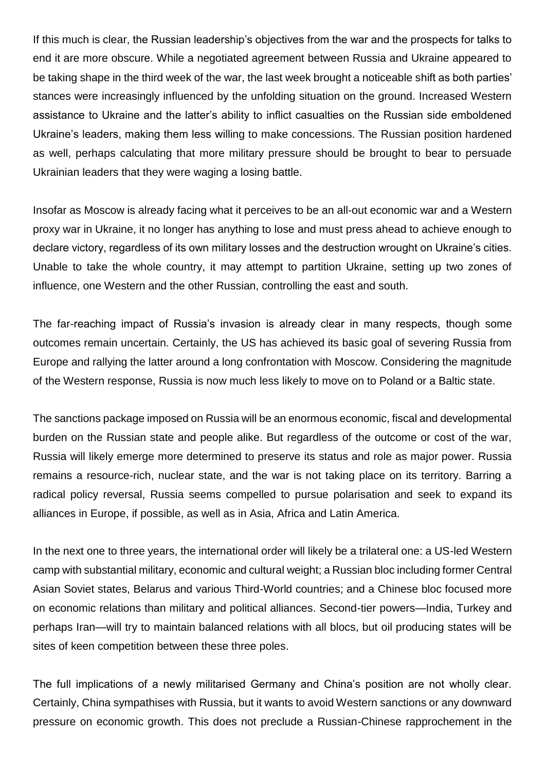If this much is clear, the Russian leadership's objectives from the war and the prospects for talks to end it are more obscure. While a negotiated agreement between Russia and Ukraine appeared to be taking shape in the third week of the war, the last week brought a noticeable shift as both parties' stances were increasingly influenced by the unfolding situation on the ground. Increased Western assistance to Ukraine and the latter's ability to inflict casualties on the Russian side emboldened Ukraine's leaders, making them less willing to make concessions. The Russian position hardened as well, perhaps calculating that more military pressure should be brought to bear to persuade Ukrainian leaders that they were waging a losing battle.

Insofar as Moscow is already facing what it perceives to be an all-out economic war and a Western proxy war in Ukraine, it no longer has anything to lose and must press ahead to achieve enough to declare victory, regardless of its own military losses and the destruction wrought on Ukraine's cities. Unable to take the whole country, it may attempt to partition Ukraine, setting up two zones of influence, one Western and the other Russian, controlling the east and south.

The far-reaching impact of Russia's invasion is already clear in many respects, though some outcomes remain uncertain. Certainly, the US has achieved its basic goal of severing Russia from Europe and rallying the latter around a long confrontation with Moscow. Considering the magnitude of the Western response, Russia is now much less likely to move on to Poland or a Baltic state.

The sanctions package imposed on Russia will be an enormous economic, fiscal and developmental burden on the Russian state and people alike. But regardless of the outcome or cost of the war, Russia will likely emerge more determined to preserve its status and role as major power. Russia remains a resource-rich, nuclear state, and the war is not taking place on its territory. Barring a radical policy reversal, Russia seems compelled to pursue polarisation and seek to expand its alliances in Europe, if possible, as well as in Asia, Africa and Latin America.

In the next one to three years, the international order will likely be a trilateral one: a US-led Western camp with substantial military, economic and cultural weight; a Russian bloc including former Central Asian Soviet states, Belarus and various Third-World countries; and a Chinese bloc focused more on economic relations than military and political alliances. Second-tier powers—India, Turkey and perhaps Iran—will try to maintain balanced relations with all blocs, but oil producing states will be sites of keen competition between these three poles.

The full implications of a newly militarised Germany and China's position are not wholly clear. Certainly, China sympathises with Russia, but it wants to avoid Western sanctions or any downward pressure on economic growth. This does not preclude a Russian-Chinese rapprochement in the